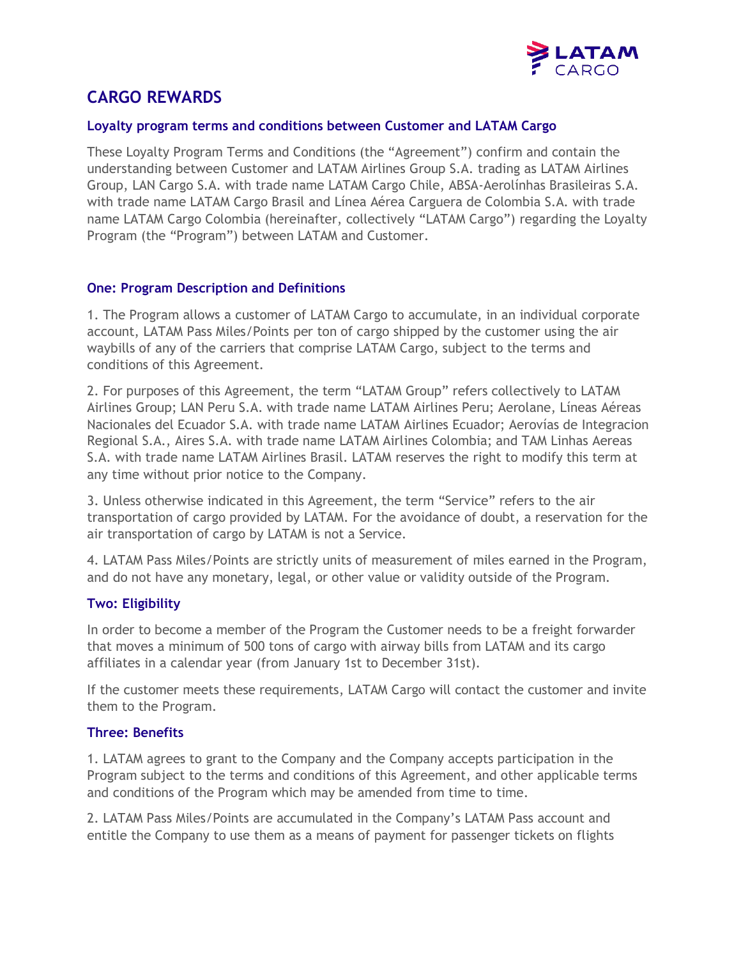

# **CARGO REWARDS**

#### **Loyalty program terms and conditions between Customer and LATAM Cargo**

These Loyalty Program Terms and Conditions (the "Agreement") confirm and contain the understanding between Customer and LATAM Airlines Group S.A. trading as LATAM Airlines Group, LAN Cargo S.A. with trade name LATAM Cargo Chile, ABSA-Aerolínhas Brasileiras S.A. with trade name LATAM Cargo Brasil and Línea Aérea Carguera de Colombia S.A. with trade name LATAM Cargo Colombia (hereinafter, collectively "LATAM Cargo") regarding the Loyalty Program (the "Program") between LATAM and Customer.

# **One: Program Description and Definitions**

1. The Program allows a customer of LATAM Cargo to accumulate, in an individual corporate account, LATAM Pass Miles/Points per ton of cargo shipped by the customer using the air waybills of any of the carriers that comprise LATAM Cargo, subject to the terms and conditions of this Agreement.

2. For purposes of this Agreement, the term "LATAM Group" refers collectively to LATAM Airlines Group; LAN Peru S.A. with trade name LATAM Airlines Peru; Aerolane, Líneas Aéreas Nacionales del Ecuador S.A. with trade name LATAM Airlines Ecuador; Aerovías de Integracion Regional S.A., Aires S.A. with trade name LATAM Airlines Colombia; and TAM Linhas Aereas S.A. with trade name LATAM Airlines Brasil. LATAM reserves the right to modify this term at any time without prior notice to the Company.

3. Unless otherwise indicated in this Agreement, the term "Service" refers to the air transportation of cargo provided by LATAM. For the avoidance of doubt, a reservation for the air transportation of cargo by LATAM is not a Service.

4. LATAM Pass Miles/Points are strictly units of measurement of miles earned in the Program, and do not have any monetary, legal, or other value or validity outside of the Program.

# **Two: Eligibility**

In order to become a member of the Program the Customer needs to be a freight forwarder that moves a minimum of 500 tons of cargo with airway bills from LATAM and its cargo affiliates in a calendar year (from January 1st to December 31st).

If the customer meets these requirements, LATAM Cargo will contact the customer and invite them to the Program.

#### **Three: Benefits**

1. LATAM agrees to grant to the Company and the Company accepts participation in the Program subject to the terms and conditions of this Agreement, and other applicable terms and conditions of the Program which may be amended from time to time.

2. LATAM Pass Miles/Points are accumulated in the Company's LATAM Pass account and entitle the Company to use them as a means of payment for passenger tickets on flights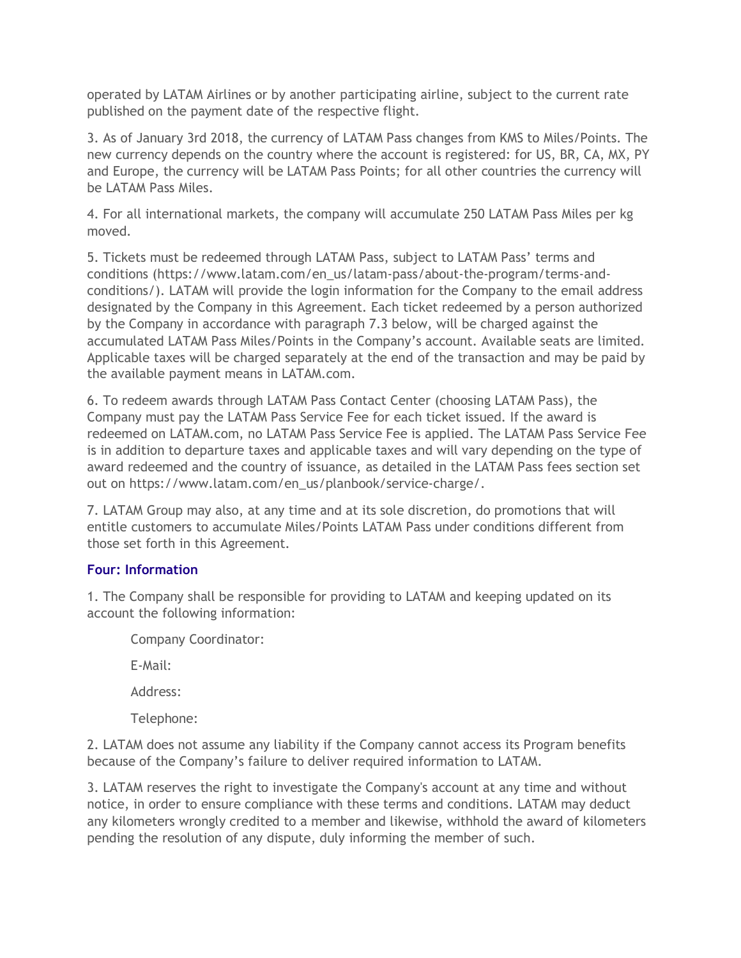operated by LATAM Airlines or by another participating airline, subject to the current rate published on the payment date of the respective flight.

3. As of January 3rd 2018, the currency of LATAM Pass changes from KMS to Miles/Points. The new currency depends on the country where the account is registered: for US, BR, CA, MX, PY and Europe, the currency will be LATAM Pass Points; for all other countries the currency will be LATAM Pass Miles.

4. For all international markets, the company will accumulate 250 LATAM Pass Miles per kg moved.

5. Tickets must be redeemed through LATAM Pass, subject to LATAM Pass' terms and conditions (https://www.latam.com/en\_us/latam-pass/about-the-program/terms-andconditions/). LATAM will provide the login information for the Company to the email address designated by the Company in this Agreement. Each ticket redeemed by a person authorized by the Company in accordance with paragraph 7.3 below, will be charged against the accumulated LATAM Pass Miles/Points in the Company's account. Available seats are limited. Applicable taxes will be charged separately at the end of the transaction and may be paid by the available payment means in LATAM.com.

6. To redeem awards through LATAM Pass Contact Center (choosing LATAM Pass), the Company must pay the LATAM Pass Service Fee for each ticket issued. If the award is redeemed on LATAM.com, no LATAM Pass Service Fee is applied. The LATAM Pass Service Fee is in addition to departure taxes and applicable taxes and will vary depending on the type of award redeemed and the country of issuance, as detailed in the LATAM Pass fees section set out on https://www.latam.com/en\_us/planbook/service-charge/.

7. LATAM Group may also, at any time and at its sole discretion, do promotions that will entitle customers to accumulate Miles/Points LATAM Pass under conditions different from those set forth in this Agreement.

# **Four: Information**

1. The Company shall be responsible for providing to LATAM and keeping updated on its account the following information:

Company Coordinator:

E-Mail:

Address:

Telephone:

2. LATAM does not assume any liability if the Company cannot access its Program benefits because of the Company's failure to deliver required information to LATAM.

3. LATAM reserves the right to investigate the Company's account at any time and without notice, in order to ensure compliance with these terms and conditions. LATAM may deduct any kilometers wrongly credited to a member and likewise, withhold the award of kilometers pending the resolution of any dispute, duly informing the member of such.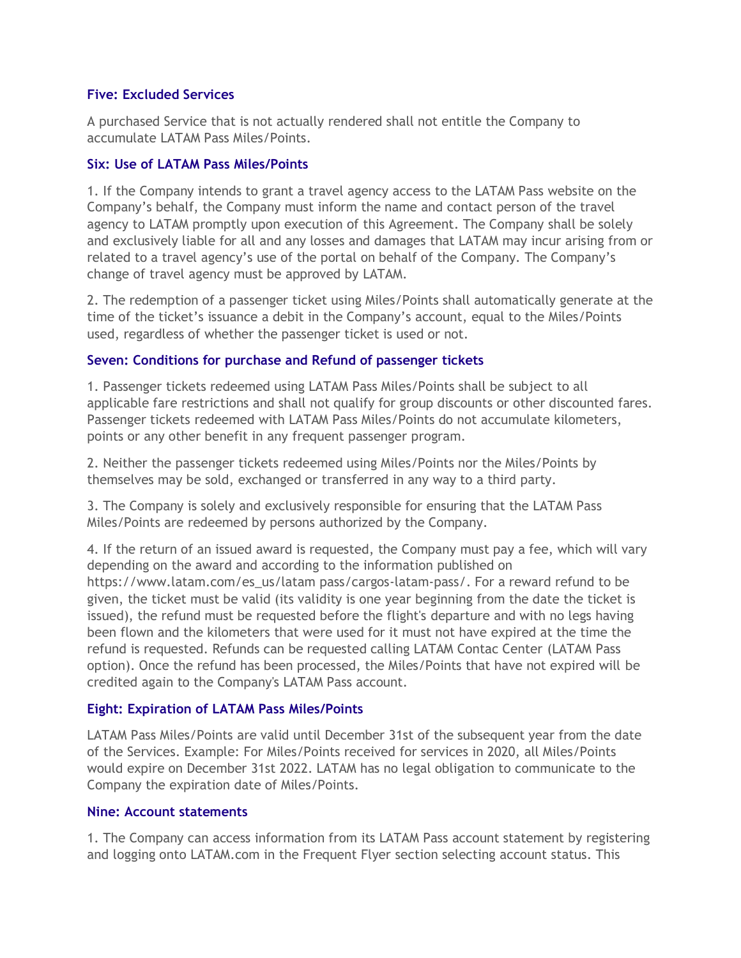### **Five: Excluded Services**

A purchased Service that is not actually rendered shall not entitle the Company to accumulate LATAM Pass Miles/Points.

# **Six: Use of LATAM Pass Miles/Points**

1. If the Company intends to grant a travel agency access to the LATAM Pass website on the Company's behalf, the Company must inform the name and contact person of the travel agency to LATAM promptly upon execution of this Agreement. The Company shall be solely and exclusively liable for all and any losses and damages that LATAM may incur arising from or related to a travel agency's use of the portal on behalf of the Company. The Company's change of travel agency must be approved by LATAM.

2. The redemption of a passenger ticket using Miles/Points shall automatically generate at the time of the ticket's issuance a debit in the Company's account, equal to the Miles/Points used, regardless of whether the passenger ticket is used or not.

# **Seven: Conditions for purchase and Refund of passenger tickets**

1. Passenger tickets redeemed using LATAM Pass Miles/Points shall be subject to all applicable fare restrictions and shall not qualify for group discounts or other discounted fares. Passenger tickets redeemed with LATAM Pass Miles/Points do not accumulate kilometers, points or any other benefit in any frequent passenger program.

2. Neither the passenger tickets redeemed using Miles/Points nor the Miles/Points by themselves may be sold, exchanged or transferred in any way to a third party.

3. The Company is solely and exclusively responsible for ensuring that the LATAM Pass Miles/Points are redeemed by persons authorized by the Company.

4. If the return of an issued award is requested, the Company must pay a fee, which will vary depending on the award and according to the information published on https://www.latam.com/es\_us/latam pass/cargos-latam-pass/. For a reward refund to be given, the ticket must be valid (its validity is one year beginning from the date the ticket is issued), the refund must be requested before the flight's departure and with no legs having been flown and the kilometers that were used for it must not have expired at the time the refund is requested. Refunds can be requested calling LATAM Contac Center (LATAM Pass option). Once the refund has been processed, the Miles/Points that have not expired will be credited again to the Company's LATAM Pass account.

# **Eight: Expiration of LATAM Pass Miles/Points**

LATAM Pass Miles/Points are valid until December 31st of the subsequent year from the date of the Services. Example: For Miles/Points received for services in 2020, all Miles/Points would expire on December 31st 2022. LATAM has no legal obligation to communicate to the Company the expiration date of Miles/Points.

#### **Nine: Account statements**

1. The Company can access information from its LATAM Pass account statement by registering and logging onto LATAM.com in the Frequent Flyer section selecting account status. This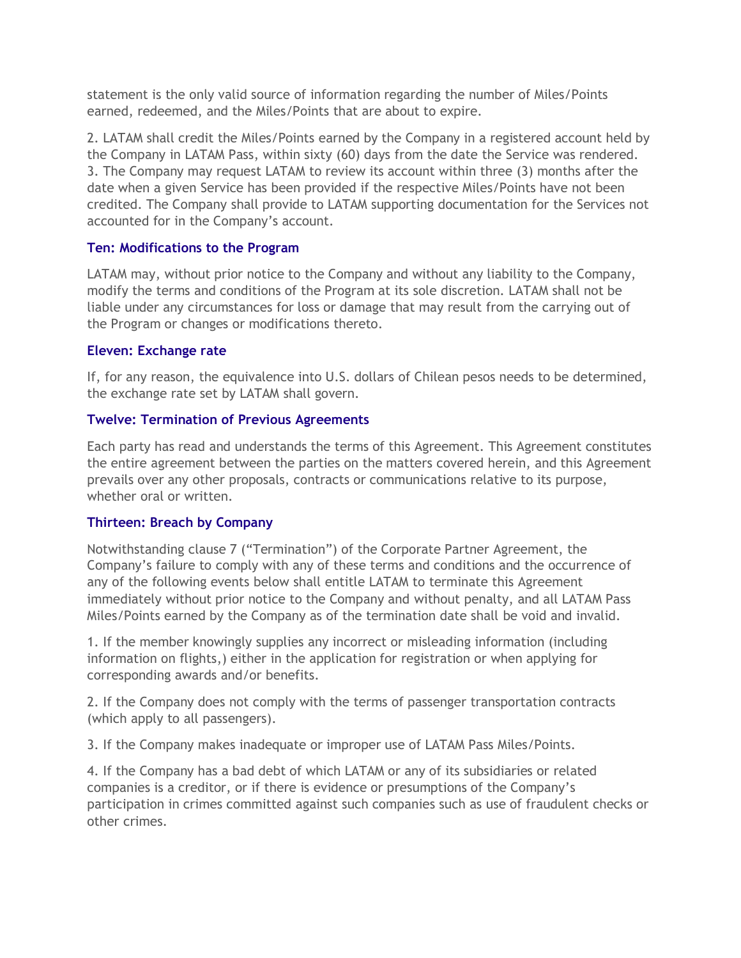statement is the only valid source of information regarding the number of Miles/Points earned, redeemed, and the Miles/Points that are about to expire.

2. LATAM shall credit the Miles/Points earned by the Company in a registered account held by the Company in LATAM Pass, within sixty (60) days from the date the Service was rendered. 3. The Company may request LATAM to review its account within three (3) months after the date when a given Service has been provided if the respective Miles/Points have not been credited. The Company shall provide to LATAM supporting documentation for the Services not accounted for in the Company's account.

# **Ten: Modifications to the Program**

LATAM may, without prior notice to the Company and without any liability to the Company, modify the terms and conditions of the Program at its sole discretion. LATAM shall not be liable under any circumstances for loss or damage that may result from the carrying out of the Program or changes or modifications thereto.

# **Eleven: Exchange rate**

If, for any reason, the equivalence into U.S. dollars of Chilean pesos needs to be determined, the exchange rate set by LATAM shall govern.

# **Twelve: Termination of Previous Agreements**

Each party has read and understands the terms of this Agreement. This Agreement constitutes the entire agreement between the parties on the matters covered herein, and this Agreement prevails over any other proposals, contracts or communications relative to its purpose, whether oral or written.

# **Thirteen: Breach by Company**

Notwithstanding clause 7 ("Termination") of the Corporate Partner Agreement, the Company's failure to comply with any of these terms and conditions and the occurrence of any of the following events below shall entitle LATAM to terminate this Agreement immediately without prior notice to the Company and without penalty, and all LATAM Pass Miles/Points earned by the Company as of the termination date shall be void and invalid.

1. If the member knowingly supplies any incorrect or misleading information (including information on flights,) either in the application for registration or when applying for corresponding awards and/or benefits.

2. If the Company does not comply with the terms of passenger transportation contracts (which apply to all passengers).

3. If the Company makes inadequate or improper use of LATAM Pass Miles/Points.

4. If the Company has a bad debt of which LATAM or any of its subsidiaries or related companies is a creditor, or if there is evidence or presumptions of the Company's participation in crimes committed against such companies such as use of fraudulent checks or other crimes.